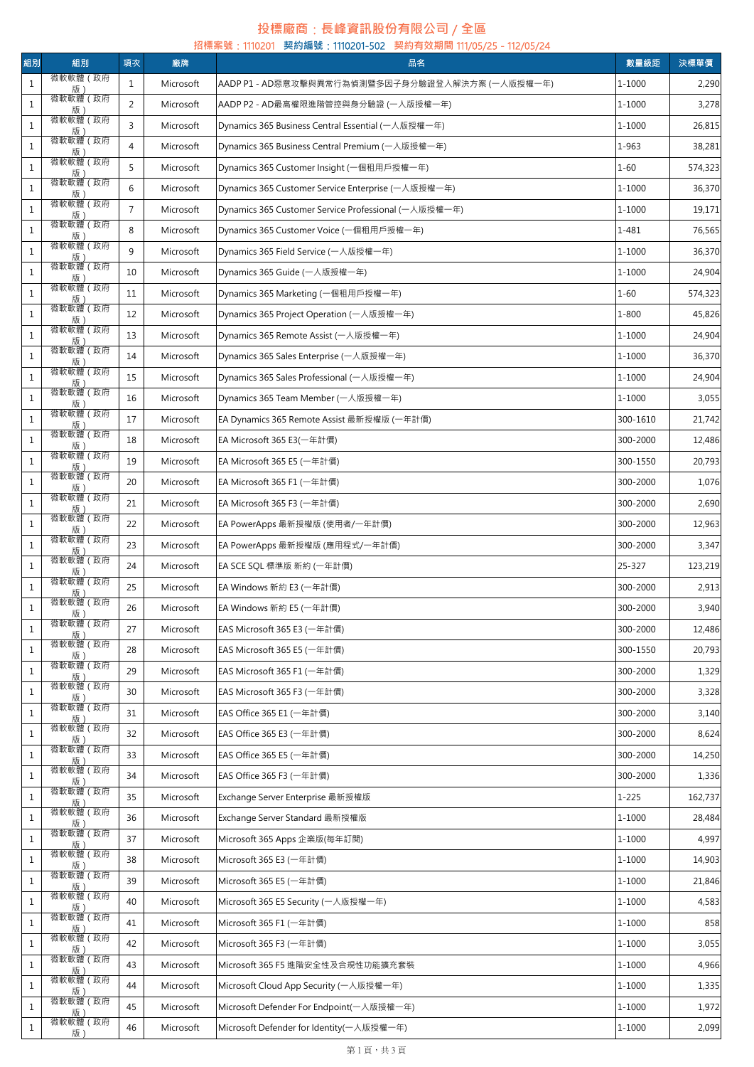## **投標廠商**:**長峰資訊股份有限公司** / **全區**

| 組別           | 組別                                 | 項次             | 廠牌        | 招標案號: 1110201 契約編號: 1110201-502 契約有效期間 111/05/25 - 112/05/24<br>品名 | 數量級距      | 決標單價    |
|--------------|------------------------------------|----------------|-----------|--------------------------------------------------------------------|-----------|---------|
| $\,1\,$      | 微軟軟體 (政府                           | $\mathbf{1}$   | Microsoft | AADP P1 - AD惡意攻擊與異常行為偵測暨多因子身分驗證登入解決方案 (一人版授權一年)                    | 1-1000    | 2,290   |
| $\mathbf{1}$ | 版)<br>微軟軟體 (政府                     | 2              | Microsoft | AADP P2 - AD最高權限進階管控與身分驗證 (一人版授權一年)                                | 1-1000    | 3,278   |
| $1\,$        | 版<br>微軟軟體 (政府                      | 3              | Microsoft | Dynamics 365 Business Central Essential (一人版授權一年)                  | 1-1000    | 26,815  |
| $\,1\,$      | 版 :<br>微軟軟體 (政府                    | $\overline{4}$ | Microsoft | Dynamics 365 Business Central Premium (一人版授權一年)                    | 1-963     | 38,281  |
| $1\,$        | 版<br>微軟軟體 (政府                      | 5              | Microsoft | Dynamics 365 Customer Insight (一個租用戶授權一年)                          | $1 - 60$  | 574,323 |
| $\mathbf{1}$ | 版)<br>微軟軟體 (政府                     | 6              | Microsoft | Dynamics 365 Customer Service Enterprise (一人版授權一年)                 | 1-1000    | 36,370  |
| $\mathbf{1}$ | 版)<br>微軟軟體 (政府                     | $\overline{7}$ | Microsoft | Dynamics 365 Customer Service Professional (一人版授權一年)               | 1-1000    | 19,171  |
| $1\,$        | 版<br>微軟軟體 (政府                      | 8              | Microsoft | Dynamics 365 Customer Voice (一個租用戶授權一年)                            | 1-481     | 76,565  |
| $1\,$        | 版 :<br>微軟軟體 (政府                    | 9              | Microsoft | Dynamics 365 Field Service (一人版授權一年)                               | 1-1000    | 36,370  |
| $\mathbf{1}$ | 版 :<br>微軟軟體 (政府                    | 10             | Microsoft | Dynamics 365 Guide (一人版授權一年)                                       | 1-1000    | 24,904  |
|              | 版)<br>微軟軟體 (政府                     |                |           |                                                                    |           |         |
| $\mathbf{1}$ | 版<br>微軟軟體 (政府                      | 11             | Microsoft | Dynamics 365 Marketing (一個租用戶授權一年)                                 | $1 - 60$  | 574,323 |
| $\mathbf{1}$ | _______ <u>版)______</u><br>微軟軟體(政府 | 12             | Microsoft | Dynamics 365 Project Operation (一人版授權一年)                           | $1 - 800$ | 45,826  |
| $\mathbf{1}$ | 版 :<br>微軟軟體(政府                     | 13             | Microsoft | Dynamics 365 Remote Assist (一人版授權一年)                               | 1-1000    | 24,904  |
| $\mathbf{1}$ | 版)<br>微軟軟體 (政府                     | 14             | Microsoft | Dynamics 365 Sales Enterprise (一人版授權一年)                            | 1-1000    | 36,370  |
| $\mathbf{1}$ | 版                                  | 15             | Microsoft | Dynamics 365 Sales Professional (一人版授權一年)                          | 1-1000    | 24,904  |
| $1\,$        | 微軟軟體 (政府<br>版)                     | 16             | Microsoft | Dynamics 365 Team Member (一人版授權一年)                                 | 1-1000    | 3,055   |
| $\,1\,$      | 微軟軟體 (政府<br>版)                     | 17             | Microsoft | EA Dynamics 365 Remote Assist 最新授權版 (一年計價)                         | 300-1610  | 21,742  |
| $1\,$        | 微軟軟體 (政府<br>版)                     | 18             | Microsoft | EA Microsoft 365 E3(一年計價)                                          | 300-2000  | 12,486  |
| $1\,$        | 微軟軟體 (政府<br>版                      | 19             | Microsoft | EA Microsoft 365 E5 (一年計價)                                         | 300-1550  | 20,793  |
| $\mathbf{1}$ | 微軟軟體 (政府<br>版)                     | 20             | Microsoft | EA Microsoft 365 F1 (一年計價)                                         | 300-2000  | 1,076   |
| $\,1\,$      | 微軟軟體 (政府<br>版                      | 21             | Microsoft | EA Microsoft 365 F3 (一年計價)                                         | 300-2000  | 2,690   |
| $\,1\,$      | 微軟軟體 (政府<br>版)                     | 22             | Microsoft | EA PowerApps 最新授權版 (使用者/一年計價)                                      | 300-2000  | 12,963  |
| $1\,$        | 微軟軟體 (政府<br>版                      | 23             | Microsoft | EA PowerApps 最新授權版 (應用程式/一年計價)                                     | 300-2000  | 3,347   |
| $1\,$        | 微軟軟體 (政府<br>版)                     | 24             | Microsoft | EA SCE SQL 標準版 新約 (一年計價)                                           | 25-327    | 123,219 |
| $\,1\,$      | 微軟軟體 (政府<br>版)                     | 25             | Microsoft | EA Windows 新約 E3 (一年計價)                                            | 300-2000  | 2,913   |
| $\mathbf{1}$ | 微軟軟體 (政府<br>版)                     | 26             | Microsoft | EA Windows 新約 E5 (一年計價)                                            | 300-2000  | 3,940   |
| $\mathbf{1}$ | 微軟軟體 (政府<br>版)                     | 27             | Microsoft | EAS Microsoft 365 E3 (一年計價)                                        | 300-2000  | 12,486  |
| $\mathbf{1}$ | 微軟軟體 (政府<br>版                      | 28             | Microsoft | EAS Microsoft 365 E5 (一年計價)                                        | 300-1550  | 20,793  |
| $\mathbf{1}$ | 微軟軟體 (政府<br>版                      | 29             | Microsoft | EAS Microsoft 365 F1 (一年計價)                                        | 300-2000  | 1,329   |
| $\mathbf{1}$ | 微軟軟體 (政府                           | 30             | Microsoft | EAS Microsoft 365 F3 (一年計價)                                        | 300-2000  | 3,328   |
| $\mathbf{1}$ | 版)<br>微軟軟體 (政府                     | 31             | Microsoft | EAS Office 365 E1 (一年計價)                                           | 300-2000  | 3,140   |
| $\mathbf{1}$ | 版)<br>微軟軟體(政府                      | 32             | Microsoft | EAS Office 365 E3 (一年計價)                                           | 300-2000  | 8,624   |
| $\mathbf{1}$ | 版<br>微軟軟體 (政府                      | 33             | Microsoft | EAS Office 365 E5 (一年計價)                                           | 300-2000  | 14,250  |
| $\mathbf{1}$ | 版 :<br>微軟軟體 (政府                    | 34             | Microsoft | EAS Office 365 F3 (一年計價)                                           | 300-2000  | 1,336   |
| $\mathbf{1}$ | 版)<br>微軟軟體 (政府                     | 35             | Microsoft | Exchange Server Enterprise 最新授權版                                   | $1 - 225$ | 162,737 |
| $\mathbf{1}$ | 版)<br>微軟軟體 (政府                     | 36             | Microsoft | Exchange Server Standard 最新授權版                                     | 1-1000    | 28,484  |
| $\mathbf{1}$ | 版<br>微軟軟體(政府                       | 37             | Microsoft | Microsoft 365 Apps 企業版(每年訂閱)                                       | 1-1000    | 4,997   |
| $1\,$        |                                    | 38             | Microsoft | Microsoft 365 E3 (一年計價)                                            | 1-1000    | 14,903  |
|              | 版)<br>微軟軟體 (政府                     |                |           |                                                                    | 1-1000    |         |
| $1\,$        | 版)<br>微軟軟體 (政府                     | 39             | Microsoft | Microsoft 365 E5 (一年計價)                                            |           | 21,846  |
| $\mathbf{1}$ | 版<br>微軟軟體 (政府                      | 40             | Microsoft | Microsoft 365 E5 Security (一人版授權一年)                                | 1-1000    | 4,583   |
| $\mathbf{1}$ | 版)<br>微軟軟體 (政府                     | 41             | Microsoft | Microsoft 365 F1 (一年計價)                                            | 1-1000    | 858     |
| $\,1\,$      | 版)<br>微軟軟體(政府                      | 42             | Microsoft | Microsoft 365 F3 (一年計價)                                            | 1-1000    | 3,055   |
| $\mathbf{1}$ | 版)<br>微軟軟體 (政府                     | 43             | Microsoft | Microsoft 365 F5 進階安全性及合規性功能擴充套裝                                   | 1-1000    | 4,966   |
| $\mathbf{1}$ | 版<br>微軟軟體 (政府                      | 44             | Microsoft | Microsoft Cloud App Security (一人版授權一年)                             | 1-1000    | 1,335   |
| $\mathbf{1}$ | 版)<br>微軟軟體 (政府                     | 45             | Microsoft | Microsoft Defender For Endpoint(一人版授權一年)                           | 1-1000    | 1,972   |
| $1\,$        | 版)                                 | 46             | Microsoft | Microsoft Defender for Identity(一人版授權一年)                           | 1-1000    | 2,099   |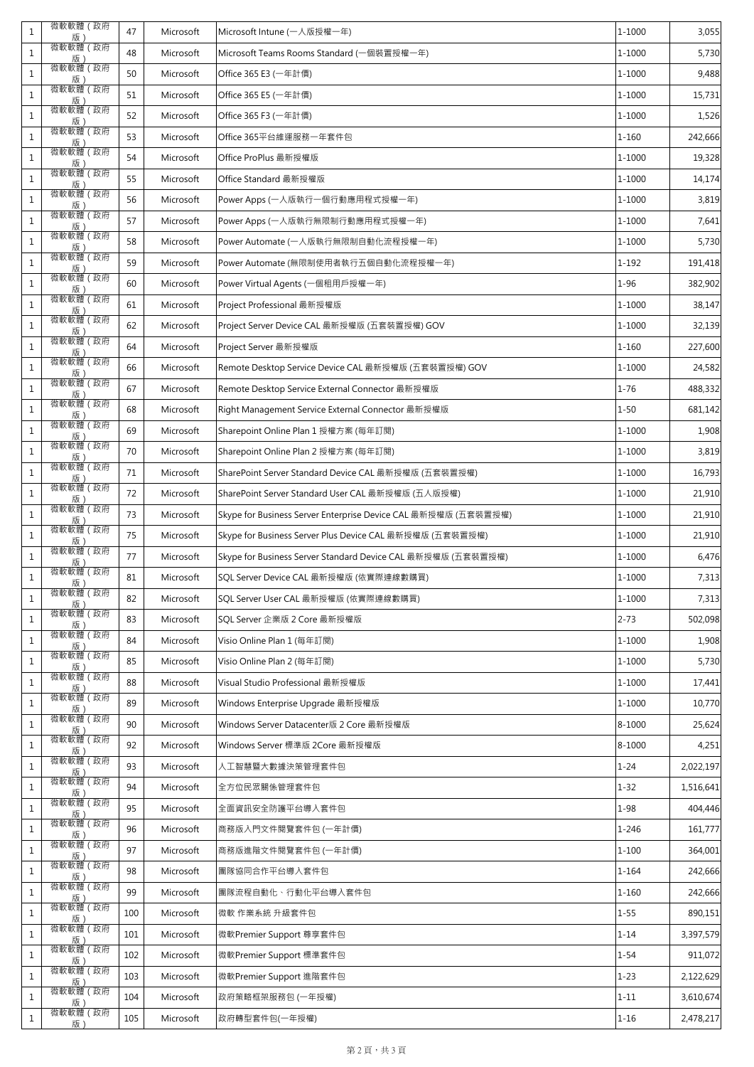| $\mathbf{1}$ | 微軟軟體 (政府<br>版)                           | 47  | Microsoft | Microsoft Intune (一人版授權一年)                                     | 1-1000    | 3,055     |
|--------------|------------------------------------------|-----|-----------|----------------------------------------------------------------|-----------|-----------|
| $\mathbf{1}$ | 微軟軟體 (政府<br>版)                           | 48  | Microsoft | Microsoft Teams Rooms Standard (一個裝置授權一年)                      | 1-1000    | 5,730     |
| $\mathbf{1}$ | 微軟軟體 (政府<br>版)                           | 50  | Microsoft | Office 365 E3 (一年計價)                                           | 1-1000    | 9,488     |
| $\mathbf{1}$ | 微軟軟體 (政府<br>版)                           | 51  | Microsoft | Office 365 E5 (一年計價)                                           | 1-1000    | 15,731    |
| 1            | 微軟軟體 (政府<br>版)                           | 52  | Microsoft | Office 365 F3 (一年計價)                                           | 1-1000    | 1,526     |
| $\mathbf{1}$ | 微軟軟體 (政府<br>版)                           | 53  | Microsoft | Office 365平台維運服務一年套件包                                          | $1 - 160$ | 242,666   |
| $\mathbf{1}$ | 微軟軟體 (政府<br>版)                           | 54  | Microsoft | Office ProPlus 最新授權版                                           | 1-1000    | 19,328    |
| $\mathbf{1}$ | 微軟軟體 (政府<br>版)                           | 55  | Microsoft | Office Standard 最新授權版                                          | 1-1000    | 14,174    |
| $\mathbf{1}$ | 微軟軟體 (政府                                 | 56  | Microsoft | Power Apps (一人版執行一個行動應用程式授權一年)                                 | 1-1000    | 3,819     |
| $\mathbf{1}$ | _______ <u>版)______</u><br>微軟軟體(政府<br>版) | 57  | Microsoft | Power Apps (一人版執行無限制行動應用程式授權一年)                                | 1-1000    | 7,641     |
| $\mathbf{1}$ | 微軟軟體 (政府<br>版)                           | 58  | Microsoft | Power Automate (一人版執行無限制自動化流程授權一年)                             | 1-1000    | 5,730     |
| $1\,$        | 微軟軟體(政府<br>版)                            | 59  | Microsoft | Power Automate (無限制使用者執行五個自動化流程授權一年) しんしょう                     | $1 - 192$ | 191,418   |
| $\mathbf{1}$ | 微軟軟體 (政府<br>版)                           | 60  | Microsoft | Power Virtual Agents (一個租用戶授權一年)                               | $1 - 96$  | 382,902   |
| $\mathbf{1}$ | 微軟軟體 (政府<br>版)                           | 61  | Microsoft | Project Professional 最新授權版                                     | 1-1000    | 38,147    |
| $\mathbf{1}$ | 微軟軟體 (政府<br>版)                           | 62  | Microsoft | Project Server Device CAL 最新授權版 (五套裝置授權) GOV                   | 1-1000    | 32,139    |
| $\mathbf{1}$ | 微軟軟體 (政府<br>版)                           | 64  | Microsoft | Project Server 最新授權版                                           | $1 - 160$ | 227,600   |
| $\mathbf{1}$ | 微軟軟體 (政府<br>版)                           | 66  | Microsoft | Remote Desktop Service Device CAL 最新授權版 (五套裝置授權) GOV           | 1-1000    | 24,582    |
| $\mathbf{1}$ | 微軟軟體 (政府<br>版)                           | 67  | Microsoft | Remote Desktop Service External Connector 最新授權版                | $1 - 76$  | 488,332   |
| $\mathbf{1}$ | 微軟軟體 (政府<br>版)                           | 68  | Microsoft | Right Management Service External Connector 最新授權版              | $1 - 50$  | 681,142   |
| $\mathbf{1}$ | 微軟軟體 (政府<br>版)                           | 69  | Microsoft | Sharepoint Online Plan 1 授權方案 (每年訂閱)                           | 1-1000    | 1,908     |
| $\mathbf{1}$ | 微軟軟體 (政府<br>版)                           | 70  | Microsoft | Sharepoint Online Plan 2 授權方案 (每年訂閱)                           | 1-1000    | 3,819     |
| $\mathbf{1}$ | 微軟軟體 (政府<br>版)                           | 71  | Microsoft | SharePoint Server Standard Device CAL 最新授權版 (五套裝置授權)           | 1-1000    | 16,793    |
| $\mathbf{1}$ | 微軟軟體 (政府<br>版)                           | 72  | Microsoft | SharePoint Server Standard User CAL 最新授權版 (五人版授權)              | 1-1000    | 21,910    |
| $\mathbf{1}$ | 微軟軟體 (政府<br>版)                           | 73  | Microsoft | Skype for Business Server Enterprise Device CAL 最新授權版 (五套裝置授權) | 1-1000    | 21,910    |
| $\mathbf{1}$ | 微軟軟體 (政府<br>版)                           | 75  | Microsoft | Skype for Business Server Plus Device CAL 最新授權版 (五套裝置授權)       | 1-1000    | 21,910    |
| 1            | 微軟軟體 (政府<br>版                            | 77  | Microsoft | Skype for Business Server Standard Device CAL 最新授權版 (五套裝置授權)   | 1-1000    | 6,476     |
| $\mathbf{1}$ | 微軟軟體 (政府<br>版)                           | 81  | Microsoft | SQL Server Device CAL 最新授權版 (依實際連線數購買)                         | 1-1000    | 7,313     |
| $\mathbf{1}$ | 微軟軟體 (政府<br>版)                           | 82  | Microsoft | SQL Server User CAL 最新授權版 (依實際連線數購買)                           | 1-1000    | 7,313     |
| $\mathbf{1}$ | 微軟軟體 (政府<br>版)                           | 83  | Microsoft | SOL Server 企業版 2 Core 最新授權版                                    | $2 - 73$  | 502,098   |
| 1            | 微軟軟體 (政府                                 | 84  | Microsoft | Visio Online Plan 1 (每年訂閱)                                     | 1-1000    | 1,908     |
| $\mathbf{1}$ | _______ <u>版)______</u><br>微軟軟體(政府<br>版) | 85  | Microsoft | Visio Online Plan 2 (每年訂閱)                                     | 1-1000    | 5,730     |
| 1            | 微軟軟體 (政府<br>版)                           | 88  | Microsoft | Visual Studio Professional 最新授權版                               | 1-1000    | 17,441    |
| $\mathbf{1}$ | 微軟軟體 (政府<br>版)                           | 89  | Microsoft | Windows Enterprise Upgrade 最新授權版                               | 1-1000    | 10,770    |
| $\mathbf{1}$ | 微軟軟體 (政府<br>版                            | 90  | Microsoft | Windows Server Datacenter版 2 Core 最新授權版                        | 8-1000    | 25,624    |
| $\mathbf{1}$ | 微軟軟體(政府<br>版)                            | 92  | Microsoft | Windows Server 標準版 2Core 最新授權版                                 | 8-1000    | 4,251     |
| $\mathbf{1}$ | 微軟軟體 (政府<br>版)                           | 93  | Microsoft | 人工智慧暨大數據決策管理套件包                                                | $1 - 24$  | 2,022,197 |
| $\mathbf{1}$ | 微軟軟體 (政府<br>版)                           | 94  | Microsoft | 全方位民眾關係管理套件包                                                   | $1 - 32$  | 1,516,641 |
| $\mathbf{1}$ | 微軟軟體 (政府<br>版)                           | 95  | Microsoft | 全面資訊安全防護平台導入套件包                                                | $1 - 98$  | 404,446   |
| $\mathbf{1}$ | 微軟軟體 (政府<br>版)                           | 96  | Microsoft | 商務版入門文件閱覽套件包 (一年計價)                                            | $1 - 246$ | 161,777   |
| $\mathbf{1}$ | 微軟軟體(政府                                  | 97  | Microsoft | 商務版進階文件閱覽套件包 (一年計價)                                            | $1 - 100$ | 364,001   |
| $\mathbf{1}$ | 版)<br>微軟軟體 (政府<br>版)                     | 98  | Microsoft | 團隊協同合作平台導入套件包                                                  | $1 - 164$ | 242,666   |
| $\mathbf{1}$ | 微軟軟體 (政府                                 | 99  | Microsoft | 團隊流程自動化、行動化平台導入套件包                                             | $1 - 160$ | 242,666   |
| $\mathbf{1}$ | 版)<br>微軟軟體 (政府<br>版)                     | 100 | Microsoft | 微軟 作業系統 升級套件包                                                  | $1 - 55$  | 890,151   |
| $\mathbf{1}$ | 微軟軟體 (政府<br>版)                           | 101 | Microsoft | 微軟Premier Support 尊享套件包                                        | $1 - 14$  | 3,397,579 |
| 1            | 微軟軟體 (政府<br>版)                           | 102 | Microsoft | 微軟Premier Support 標準套件包                                        | $1 - 54$  | 911,072   |
| $\mathbf{1}$ | 微軟軟體 (政府<br>版)                           | 103 | Microsoft | 微軟Premier Support 進階套件包                                        | $1 - 23$  | 2,122,629 |
| $\mathbf{1}$ | 微軟軟體 (政府<br>版)                           | 104 | Microsoft | 政府策略框架服務包 (一年授權)                                               | $1 - 11$  | 3,610,674 |
| $\mathbf{1}$ | 微軟軟體 (政府<br>版)                           | 105 | Microsoft | 政府轉型套件包(一年授權)                                                  | $1 - 16$  | 2,478,217 |
|              |                                          |     |           |                                                                |           |           |